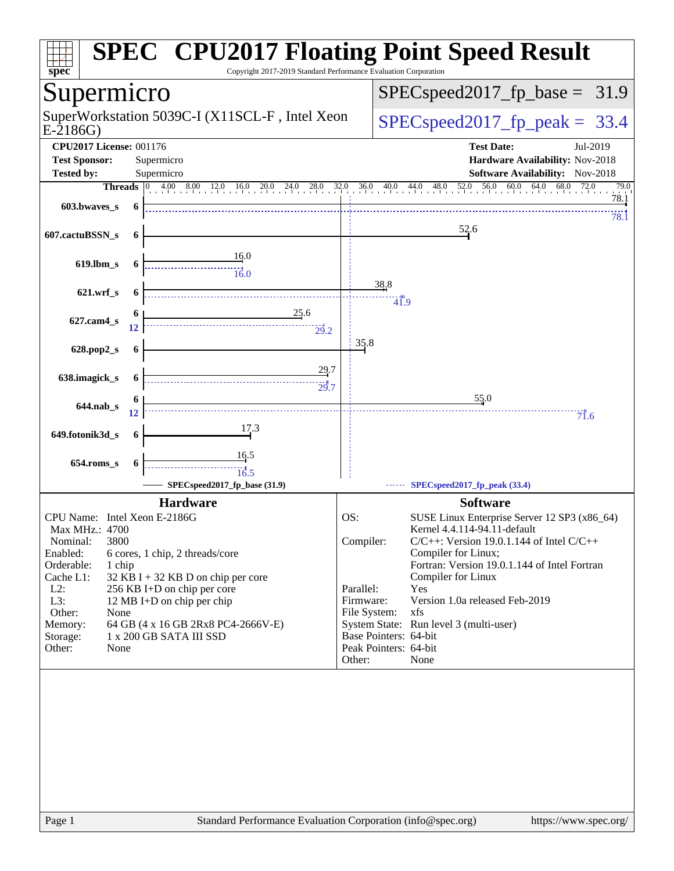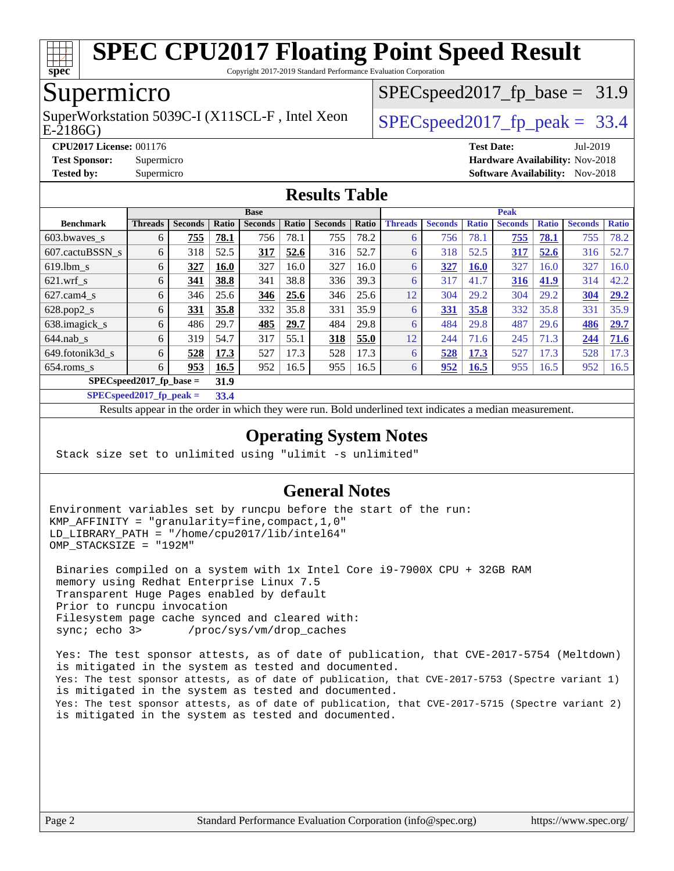

Copyright 2017-2019 Standard Performance Evaluation Corporation

## Supermicro

E-2186G) SuperWorkstation 5039C-I (X11SCL-F, Intel Xeon  $\big|$  SPECspeed2017 fp\_peak = 33.4

 $SPECspeed2017_fp\_base = 31.9$ 

**[CPU2017 License:](http://www.spec.org/auto/cpu2017/Docs/result-fields.html#CPU2017License)** 001176 **[Test Date:](http://www.spec.org/auto/cpu2017/Docs/result-fields.html#TestDate)** Jul-2019

**[Test Sponsor:](http://www.spec.org/auto/cpu2017/Docs/result-fields.html#TestSponsor)** Supermicro **[Hardware Availability:](http://www.spec.org/auto/cpu2017/Docs/result-fields.html#HardwareAvailability)** Nov-2018

**[Tested by:](http://www.spec.org/auto/cpu2017/Docs/result-fields.html#Testedby)** Supermicro [Software Availability:](http://www.spec.org/auto/cpu2017/Docs/result-fields.html#SoftwareAvailability) Nov-2018

#### **[Results Table](http://www.spec.org/auto/cpu2017/Docs/result-fields.html#ResultsTable)**

|                            | <b>Base</b>    |                |             |                |       |                | <b>Peak</b> |                |                |              |                |              |                |              |
|----------------------------|----------------|----------------|-------------|----------------|-------|----------------|-------------|----------------|----------------|--------------|----------------|--------------|----------------|--------------|
| <b>Benchmark</b>           | <b>Threads</b> | <b>Seconds</b> | Ratio       | <b>Seconds</b> | Ratio | <b>Seconds</b> | Ratio       | <b>Threads</b> | <b>Seconds</b> | <b>Ratio</b> | <b>Seconds</b> | <b>Ratio</b> | <b>Seconds</b> | <b>Ratio</b> |
| 603.bwayes s               | 6              | 755            | 78.1        | 756            | 78.1  | 755            | 78.2        | 6              | 756            | 78.1         | 755            | 78.1         | 755            | 78.2         |
| 607.cactuBSSN s            | 6              | 318            | 52.5        | <u>317</u>     | 52.6  | 316            | 52.7        | 6              | 318            | 52.5         | <u>317</u>     | 52.6         | 316            | 52.7         |
| $619.$ lbm_s               | 6              | 327            | <b>16.0</b> | 327            | 16.0  | 327            | 16.0        | 6              | 327            | <b>16.0</b>  | 327            | 16.0         | 327            | 16.0         |
| $621$ .wrf s               | 6              | 341            | 38.8        | 341            | 38.8  | 336            | 39.3        | 6              | 317            | 41.7         | <u>316</u>     | 41.9         | 314            | 42.2         |
| $627$ .cam4 s              | 6              | 346            | 25.6        | 346            | 25.6  | 346            | 25.6        | 12             | 304            | 29.2         | 304            | 29.2         | 304            | 29.2         |
| $628.pop2_s$               | 6              | 331            | 35.8        | 332            | 35.8  | 331            | 35.9        | 6              | <u>331</u>     | 35.8         | 332            | 35.8         | 331            | 35.9         |
| 638.imagick_s              | 6              | 486            | 29.7        | 485            | 29.7  | 484            | 29.8        | 6              | 484            | 29.8         | 487            | 29.6         | 486            | 29.7         |
| $644$ .nab s               | 6              | 319            | 54.7        | 317            | 55.1  | 318            | 55.0        | 12             | 244            | 71.6         | 245            | 71.3         | 244            | 71.6         |
| 649.fotonik3d s            | 6              | 528            | 17.3        | 527            | 17.3  | 528            | 17.3        | 6              | 528            | 17.3         | 527            | 17.3         | 528            | 17.3         |
| $654$ .roms s              | 6              | 953            | 16.5        | 952            | 16.5  | 955            | 16.5        | 6              | 952            | 16.5         | 955            | 16.5         | 952            | 16.5         |
| $SPEC speed2017$ fp base = | 31.9           |                |             |                |       |                |             |                |                |              |                |              |                |              |
|                            | . <i>.</i>     |                |             |                |       |                |             |                |                |              |                |              |                |              |

**[SPECspeed2017\\_fp\\_peak =](http://www.spec.org/auto/cpu2017/Docs/result-fields.html#SPECspeed2017fppeak) 33.4**

Results appear in the [order in which they were run.](http://www.spec.org/auto/cpu2017/Docs/result-fields.html#RunOrder) Bold underlined text [indicates a median measurement.](http://www.spec.org/auto/cpu2017/Docs/result-fields.html#Median)

#### **[Operating System Notes](http://www.spec.org/auto/cpu2017/Docs/result-fields.html#OperatingSystemNotes)**

Stack size set to unlimited using "ulimit -s unlimited"

#### **[General Notes](http://www.spec.org/auto/cpu2017/Docs/result-fields.html#GeneralNotes)**

Environment variables set by runcpu before the start of the run: KMP\_AFFINITY = "granularity=fine,compact,1,0" LD LIBRARY PATH = "/home/cpu2017/lib/intel64" OMP\_STACKSIZE = "192M"

 Binaries compiled on a system with 1x Intel Core i9-7900X CPU + 32GB RAM memory using Redhat Enterprise Linux 7.5 Transparent Huge Pages enabled by default Prior to runcpu invocation Filesystem page cache synced and cleared with: sync; echo 3> /proc/sys/vm/drop\_caches

 Yes: The test sponsor attests, as of date of publication, that CVE-2017-5754 (Meltdown) is mitigated in the system as tested and documented. Yes: The test sponsor attests, as of date of publication, that CVE-2017-5753 (Spectre variant 1) is mitigated in the system as tested and documented. Yes: The test sponsor attests, as of date of publication, that CVE-2017-5715 (Spectre variant 2) is mitigated in the system as tested and documented.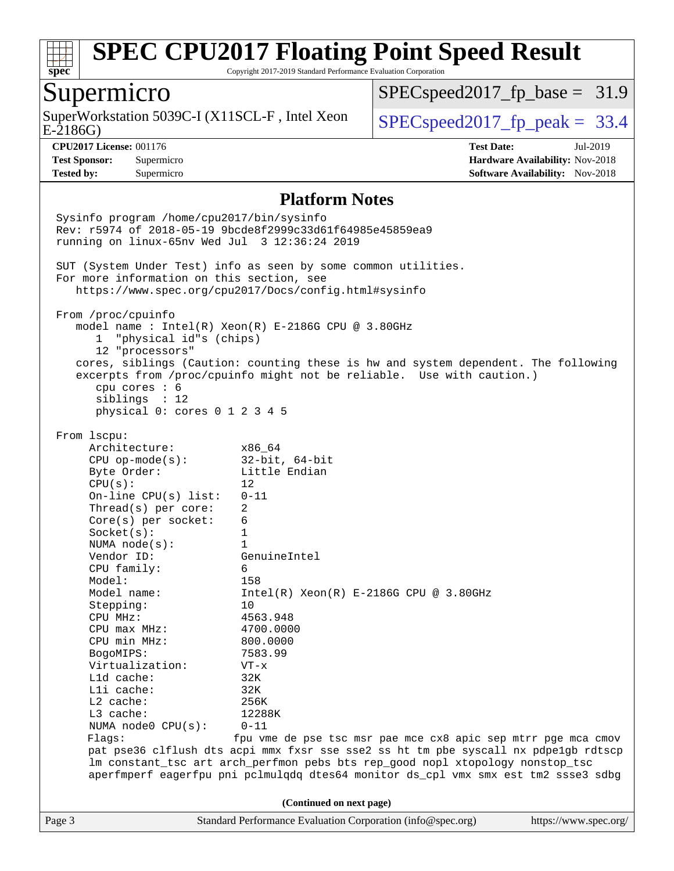

Copyright 2017-2019 Standard Performance Evaluation Corporation

#### Supermicro

E-2186G) SuperWorkstation 5039C-I (X11SCL-F, Intel Xeon  $\big|$  [SPECspeed2017\\_fp\\_peak =](http://www.spec.org/auto/cpu2017/Docs/result-fields.html#SPECspeed2017fppeak) 33.4

 $SPECspeed2017_fp\_base = 31.9$ 

**[Tested by:](http://www.spec.org/auto/cpu2017/Docs/result-fields.html#Testedby)** Supermicro **Supermicro [Software Availability:](http://www.spec.org/auto/cpu2017/Docs/result-fields.html#SoftwareAvailability)** Nov-2018

**[CPU2017 License:](http://www.spec.org/auto/cpu2017/Docs/result-fields.html#CPU2017License)** 001176 **[Test Date:](http://www.spec.org/auto/cpu2017/Docs/result-fields.html#TestDate)** Jul-2019 **[Test Sponsor:](http://www.spec.org/auto/cpu2017/Docs/result-fields.html#TestSponsor)** Supermicro **[Hardware Availability:](http://www.spec.org/auto/cpu2017/Docs/result-fields.html#HardwareAvailability)** Nov-2018

#### **[Platform Notes](http://www.spec.org/auto/cpu2017/Docs/result-fields.html#PlatformNotes)**

Page 3 Standard Performance Evaluation Corporation [\(info@spec.org\)](mailto:info@spec.org) <https://www.spec.org/> Sysinfo program /home/cpu2017/bin/sysinfo Rev: r5974 of 2018-05-19 9bcde8f2999c33d61f64985e45859ea9 running on linux-65nv Wed Jul 3 12:36:24 2019 SUT (System Under Test) info as seen by some common utilities. For more information on this section, see <https://www.spec.org/cpu2017/Docs/config.html#sysinfo> From /proc/cpuinfo model name : Intel(R) Xeon(R) E-2186G CPU @ 3.80GHz 1 "physical id"s (chips) 12 "processors" cores, siblings (Caution: counting these is hw and system dependent. The following excerpts from /proc/cpuinfo might not be reliable. Use with caution.) cpu cores : 6 siblings : 12 physical 0: cores 0 1 2 3 4 5 From lscpu: Architecture: x86\_64 CPU op-mode(s): 32-bit, 64-bit Byte Order: Little Endian  $CPU(s):$  12 On-line CPU(s) list: 0-11 Thread(s) per core: 2 Core(s) per socket: 6 Socket(s): 1 NUMA node(s): 1 Vendor ID: GenuineIntel CPU family: 6 Model: 158<br>Model name: 1158  $Intel(R)$  Xeon(R) E-2186G CPU @ 3.80GHz Stepping: 10 CPU MHz: 4563.948 CPU max MHz: 4700.0000 CPU min MHz: 800.0000 BogoMIPS: 7583.99 Virtualization: VT-x L1d cache: 32K L1i cache: 32K L2 cache: 256K L3 cache: 12288K NUMA node0 CPU(s): 0-11 Flags: fpu vme de pse tsc msr pae mce cx8 apic sep mtrr pge mca cmov pat pse36 clflush dts acpi mmx fxsr sse sse2 ss ht tm pbe syscall nx pdpe1gb rdtscp lm constant\_tsc art arch\_perfmon pebs bts rep\_good nopl xtopology nonstop\_tsc aperfmperf eagerfpu pni pclmulqdq dtes64 monitor ds\_cpl vmx smx est tm2 ssse3 sdbg **(Continued on next page)**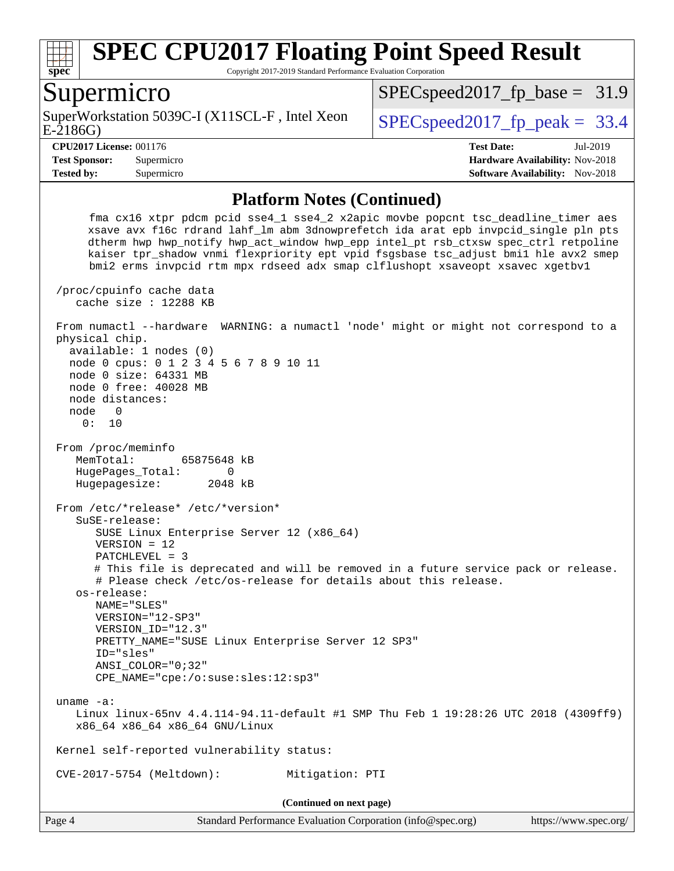

Copyright 2017-2019 Standard Performance Evaluation Corporation

#### Supermicro

E-2186G) SuperWorkstation 5039C-I (X11SCL-F, Intel Xeon  $\big|$  SPECspeed2017 fp\_peak = 33.4

 $SPECspeed2017_fp\_base = 31.9$ 

**[Tested by:](http://www.spec.org/auto/cpu2017/Docs/result-fields.html#Testedby)** Supermicro **Supermicro [Software Availability:](http://www.spec.org/auto/cpu2017/Docs/result-fields.html#SoftwareAvailability)** Nov-2018

**[CPU2017 License:](http://www.spec.org/auto/cpu2017/Docs/result-fields.html#CPU2017License)** 001176 **[Test Date:](http://www.spec.org/auto/cpu2017/Docs/result-fields.html#TestDate)** Jul-2019 **[Test Sponsor:](http://www.spec.org/auto/cpu2017/Docs/result-fields.html#TestSponsor)** Supermicro **[Hardware Availability:](http://www.spec.org/auto/cpu2017/Docs/result-fields.html#HardwareAvailability)** Nov-2018

#### **[Platform Notes \(Continued\)](http://www.spec.org/auto/cpu2017/Docs/result-fields.html#PlatformNotes)**

 fma cx16 xtpr pdcm pcid sse4\_1 sse4\_2 x2apic movbe popcnt tsc\_deadline\_timer aes xsave avx f16c rdrand lahf\_lm abm 3dnowprefetch ida arat epb invpcid\_single pln pts dtherm hwp hwp\_notify hwp\_act\_window hwp\_epp intel\_pt rsb\_ctxsw spec\_ctrl retpoline kaiser tpr\_shadow vnmi flexpriority ept vpid fsgsbase tsc\_adjust bmi1 hle avx2 smep bmi2 erms invpcid rtm mpx rdseed adx smap clflushopt xsaveopt xsavec xgetbv1 /proc/cpuinfo cache data cache size : 12288 KB From numactl --hardware WARNING: a numactl 'node' might or might not correspond to a physical chip. available: 1 nodes (0) node 0 cpus: 0 1 2 3 4 5 6 7 8 9 10 11 node 0 size: 64331 MB node 0 free: 40028 MB node distances: node 0 0: 10 From /proc/meminfo MemTotal: 65875648 kB HugePages\_Total: 0 Hugepagesize: 2048 kB From /etc/\*release\* /etc/\*version\* SuSE-release: SUSE Linux Enterprise Server 12 (x86\_64) VERSION = 12 PATCHLEVEL = 3 # This file is deprecated and will be removed in a future service pack or release. # Please check /etc/os-release for details about this release. os-release: NAME="SLES" VERSION="12-SP3" VERSION\_ID="12.3" PRETTY\_NAME="SUSE Linux Enterprise Server 12 SP3" ID="sles" ANSI\_COLOR="0;32" CPE\_NAME="cpe:/o:suse:sles:12:sp3" uname -a: Linux linux-65nv 4.4.114-94.11-default #1 SMP Thu Feb 1 19:28:26 UTC 2018 (4309ff9) x86\_64 x86\_64 x86\_64 GNU/Linux Kernel self-reported vulnerability status: CVE-2017-5754 (Meltdown): Mitigation: PTI **(Continued on next page)**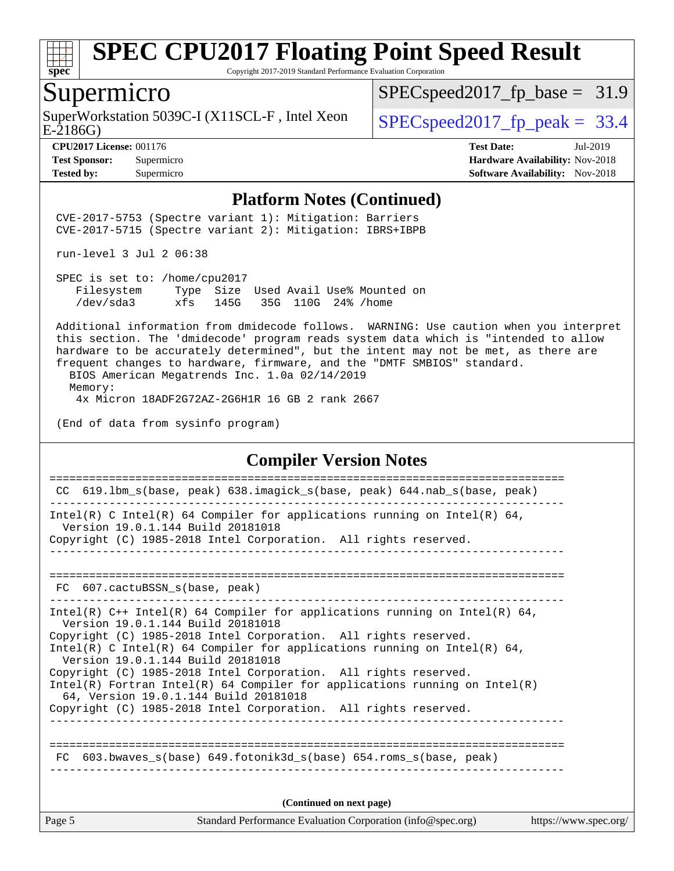

Copyright 2017-2019 Standard Performance Evaluation Corporation

#### Supermicro

E-2186G) SuperWorkstation 5039C-I (X11SCL-F, Intel Xeon  $\big|$  SPECspeed2017 fp\_peak = 33.4

 $SPECspeed2017_fp\_base = 31.9$ 

**[CPU2017 License:](http://www.spec.org/auto/cpu2017/Docs/result-fields.html#CPU2017License)** 001176 **[Test Date:](http://www.spec.org/auto/cpu2017/Docs/result-fields.html#TestDate)** Jul-2019 **[Test Sponsor:](http://www.spec.org/auto/cpu2017/Docs/result-fields.html#TestSponsor)** Supermicro **[Hardware Availability:](http://www.spec.org/auto/cpu2017/Docs/result-fields.html#HardwareAvailability)** Nov-2018 **[Tested by:](http://www.spec.org/auto/cpu2017/Docs/result-fields.html#Testedby)** Supermicro **[Software Availability:](http://www.spec.org/auto/cpu2017/Docs/result-fields.html#SoftwareAvailability)** Nov-2018

#### **[Platform Notes \(Continued\)](http://www.spec.org/auto/cpu2017/Docs/result-fields.html#PlatformNotes)**

 CVE-2017-5753 (Spectre variant 1): Mitigation: Barriers CVE-2017-5715 (Spectre variant 2): Mitigation: IBRS+IBPB

run-level 3 Jul 2 06:38

 SPEC is set to: /home/cpu2017 Filesystem Type Size Used Avail Use% Mounted on /dev/sda3 xfs 145G 35G 110G 24% /home

 Additional information from dmidecode follows. WARNING: Use caution when you interpret this section. The 'dmidecode' program reads system data which is "intended to allow hardware to be accurately determined", but the intent may not be met, as there are frequent changes to hardware, firmware, and the "DMTF SMBIOS" standard.

 BIOS American Megatrends Inc. 1.0a 02/14/2019 Memory: 4x Micron 18ADF2G72AZ-2G6H1R 16 GB 2 rank 2667

(End of data from sysinfo program)

#### **[Compiler Version Notes](http://www.spec.org/auto/cpu2017/Docs/result-fields.html#CompilerVersionNotes)**

Page 5 Standard Performance Evaluation Corporation [\(info@spec.org\)](mailto:info@spec.org) <https://www.spec.org/> ============================================================================== CC 619.lbm\_s(base, peak) 638.imagick\_s(base, peak) 644.nab\_s(base, peak) ------------------------------------------------------------------------------ Intel(R) C Intel(R) 64 Compiler for applications running on Intel(R) 64, Version 19.0.1.144 Build 20181018 Copyright (C) 1985-2018 Intel Corporation. All rights reserved. ------------------------------------------------------------------------------ ============================================================================== FC 607.cactuBSSN s(base, peak) ------------------------------------------------------------------------------ Intel(R)  $C++$  Intel(R) 64 Compiler for applications running on Intel(R) 64, Version 19.0.1.144 Build 20181018 Copyright (C) 1985-2018 Intel Corporation. All rights reserved. Intel(R) C Intel(R) 64 Compiler for applications running on Intel(R)  $64$ , Version 19.0.1.144 Build 20181018 Copyright (C) 1985-2018 Intel Corporation. All rights reserved. Intel(R) Fortran Intel(R) 64 Compiler for applications running on Intel(R) 64, Version 19.0.1.144 Build 20181018 Copyright (C) 1985-2018 Intel Corporation. All rights reserved. ------------------------------------------------------------------------------ ============================================================================== FC 603.bwaves\_s(base) 649.fotonik3d\_s(base) 654.roms\_s(base, peak) **(Continued on next page)**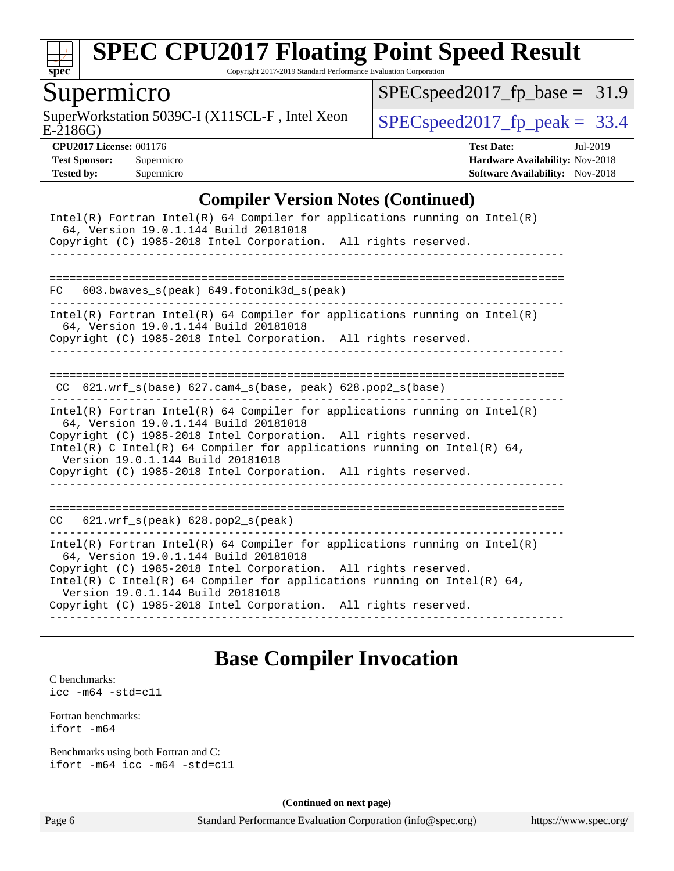

Copyright 2017-2019 Standard Performance Evaluation Corporation

### Supermicro

E-2186G) SuperWorkstation 5039C-I (X11SCL-F, Intel Xeon  $\big|$  [SPECspeed2017\\_fp\\_peak =](http://www.spec.org/auto/cpu2017/Docs/result-fields.html#SPECspeed2017fppeak) 33.4

[SPECspeed2017\\_fp\\_base =](http://www.spec.org/auto/cpu2017/Docs/result-fields.html#SPECspeed2017fpbase) 31.9

**[CPU2017 License:](http://www.spec.org/auto/cpu2017/Docs/result-fields.html#CPU2017License)** 001176 **[Test Date:](http://www.spec.org/auto/cpu2017/Docs/result-fields.html#TestDate)** Jul-2019 **[Test Sponsor:](http://www.spec.org/auto/cpu2017/Docs/result-fields.html#TestSponsor)** Supermicro **[Hardware Availability:](http://www.spec.org/auto/cpu2017/Docs/result-fields.html#HardwareAvailability)** Nov-2018 **[Tested by:](http://www.spec.org/auto/cpu2017/Docs/result-fields.html#Testedby)** Supermicro [Software Availability:](http://www.spec.org/auto/cpu2017/Docs/result-fields.html#SoftwareAvailability) Nov-2018

#### **[Compiler Version Notes \(Continued\)](http://www.spec.org/auto/cpu2017/Docs/result-fields.html#CompilerVersionNotes)**

| Intel(R) Fortran Intel(R) 64 Compiler for applications running on $Intel(R)$<br>64, Version 19.0.1.144 Build 20181018<br>Copyright (C) 1985-2018 Intel Corporation. All rights reserved.                                                                                                                                                                                     |
|------------------------------------------------------------------------------------------------------------------------------------------------------------------------------------------------------------------------------------------------------------------------------------------------------------------------------------------------------------------------------|
| ----------------------<br>603.bwaves_s(peak) 649.fotonik3d_s(peak)<br>FC                                                                                                                                                                                                                                                                                                     |
| Intel(R) Fortran Intel(R) 64 Compiler for applications running on Intel(R)<br>64, Version 19.0.1.144 Build 20181018<br>Copyright (C) 1985-2018 Intel Corporation. All rights reserved.                                                                                                                                                                                       |
| $CC$ 621.wrf_s(base) 627.cam4_s(base, peak) 628.pop2_s(base)                                                                                                                                                                                                                                                                                                                 |
| Intel(R) Fortran Intel(R) 64 Compiler for applications running on Intel(R)<br>64, Version 19.0.1.144 Build 20181018<br>Copyright (C) 1985-2018 Intel Corporation. All rights reserved.<br>Intel(R) C Intel(R) 64 Compiler for applications running on Intel(R) 64,<br>Version 19.0.1.144 Build 20181018<br>Copyright (C) 1985-2018 Intel Corporation. All rights reserved.   |
| $621.wrf_s(peak)$ $628.pop2_s(peak)$<br>CC                                                                                                                                                                                                                                                                                                                                   |
| Intel(R) Fortran Intel(R) 64 Compiler for applications running on Intel(R)<br>64, Version 19.0.1.144 Build 20181018<br>Copyright (C) 1985-2018 Intel Corporation. All rights reserved.<br>$Intel(R)$ C Intel(R) 64 Compiler for applications running on Intel(R) 64,<br>Version 19.0.1.144 Build 20181018<br>Copyright (C) 1985-2018 Intel Corporation. All rights reserved. |

### **[Base Compiler Invocation](http://www.spec.org/auto/cpu2017/Docs/result-fields.html#BaseCompilerInvocation)**

[C benchmarks](http://www.spec.org/auto/cpu2017/Docs/result-fields.html#Cbenchmarks): [icc -m64 -std=c11](http://www.spec.org/cpu2017/results/res2019q3/cpu2017-20190709-16212.flags.html#user_CCbase_intel_icc_64bit_c11_33ee0cdaae7deeeab2a9725423ba97205ce30f63b9926c2519791662299b76a0318f32ddfffdc46587804de3178b4f9328c46fa7c2b0cd779d7a61945c91cd35)

[Fortran benchmarks](http://www.spec.org/auto/cpu2017/Docs/result-fields.html#Fortranbenchmarks):

[ifort -m64](http://www.spec.org/cpu2017/results/res2019q3/cpu2017-20190709-16212.flags.html#user_FCbase_intel_ifort_64bit_24f2bb282fbaeffd6157abe4f878425411749daecae9a33200eee2bee2fe76f3b89351d69a8130dd5949958ce389cf37ff59a95e7a40d588e8d3a57e0c3fd751)

[Benchmarks using both Fortran and C](http://www.spec.org/auto/cpu2017/Docs/result-fields.html#BenchmarksusingbothFortranandC): [ifort -m64](http://www.spec.org/cpu2017/results/res2019q3/cpu2017-20190709-16212.flags.html#user_CC_FCbase_intel_ifort_64bit_24f2bb282fbaeffd6157abe4f878425411749daecae9a33200eee2bee2fe76f3b89351d69a8130dd5949958ce389cf37ff59a95e7a40d588e8d3a57e0c3fd751) [icc -m64 -std=c11](http://www.spec.org/cpu2017/results/res2019q3/cpu2017-20190709-16212.flags.html#user_CC_FCbase_intel_icc_64bit_c11_33ee0cdaae7deeeab2a9725423ba97205ce30f63b9926c2519791662299b76a0318f32ddfffdc46587804de3178b4f9328c46fa7c2b0cd779d7a61945c91cd35)

**(Continued on next page)**

Page 6 Standard Performance Evaluation Corporation [\(info@spec.org\)](mailto:info@spec.org) <https://www.spec.org/>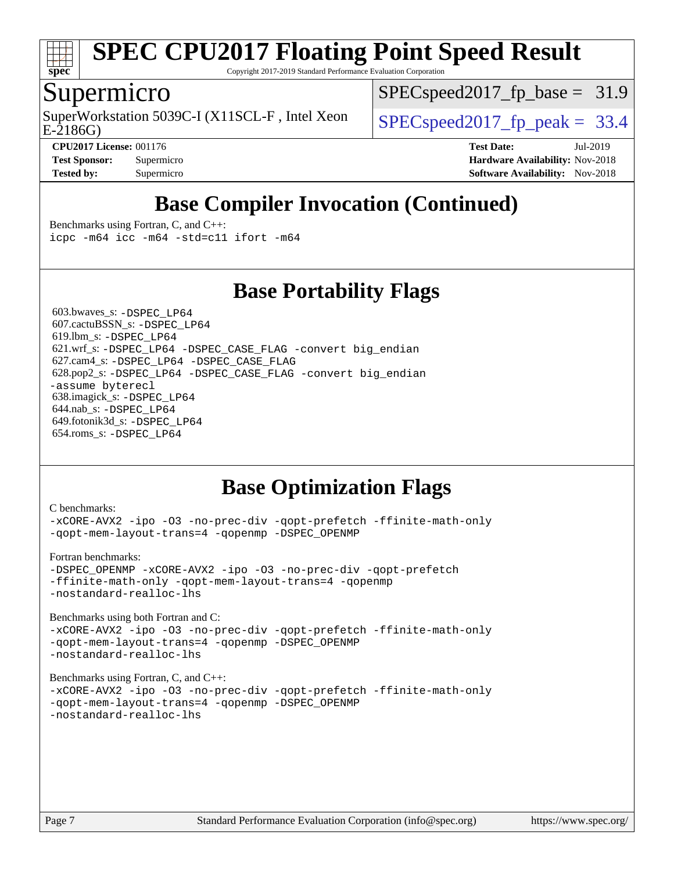

Copyright 2017-2019 Standard Performance Evaluation Corporation

## Supermicro

E-2186G) SuperWorkstation 5039C-I (X11SCL-F, Intel Xeon  $\big|$  [SPECspeed2017\\_fp\\_peak =](http://www.spec.org/auto/cpu2017/Docs/result-fields.html#SPECspeed2017fppeak) 33.4

 $SPECspeed2017_fp\_base = 31.9$ 

**[CPU2017 License:](http://www.spec.org/auto/cpu2017/Docs/result-fields.html#CPU2017License)** 001176 **[Test Date:](http://www.spec.org/auto/cpu2017/Docs/result-fields.html#TestDate)** Jul-2019 **[Test Sponsor:](http://www.spec.org/auto/cpu2017/Docs/result-fields.html#TestSponsor)** Supermicro **[Hardware Availability:](http://www.spec.org/auto/cpu2017/Docs/result-fields.html#HardwareAvailability)** Nov-2018 **[Tested by:](http://www.spec.org/auto/cpu2017/Docs/result-fields.html#Testedby)** Supermicro [Software Availability:](http://www.spec.org/auto/cpu2017/Docs/result-fields.html#SoftwareAvailability) Nov-2018

## **[Base Compiler Invocation \(Continued\)](http://www.spec.org/auto/cpu2017/Docs/result-fields.html#BaseCompilerInvocation)**

[Benchmarks using Fortran, C, and C++:](http://www.spec.org/auto/cpu2017/Docs/result-fields.html#BenchmarksusingFortranCandCXX) [icpc -m64](http://www.spec.org/cpu2017/results/res2019q3/cpu2017-20190709-16212.flags.html#user_CC_CXX_FCbase_intel_icpc_64bit_4ecb2543ae3f1412ef961e0650ca070fec7b7afdcd6ed48761b84423119d1bf6bdf5cad15b44d48e7256388bc77273b966e5eb805aefd121eb22e9299b2ec9d9) [icc -m64 -std=c11](http://www.spec.org/cpu2017/results/res2019q3/cpu2017-20190709-16212.flags.html#user_CC_CXX_FCbase_intel_icc_64bit_c11_33ee0cdaae7deeeab2a9725423ba97205ce30f63b9926c2519791662299b76a0318f32ddfffdc46587804de3178b4f9328c46fa7c2b0cd779d7a61945c91cd35) [ifort -m64](http://www.spec.org/cpu2017/results/res2019q3/cpu2017-20190709-16212.flags.html#user_CC_CXX_FCbase_intel_ifort_64bit_24f2bb282fbaeffd6157abe4f878425411749daecae9a33200eee2bee2fe76f3b89351d69a8130dd5949958ce389cf37ff59a95e7a40d588e8d3a57e0c3fd751)

**[Base Portability Flags](http://www.spec.org/auto/cpu2017/Docs/result-fields.html#BasePortabilityFlags)**

 603.bwaves\_s: [-DSPEC\\_LP64](http://www.spec.org/cpu2017/results/res2019q3/cpu2017-20190709-16212.flags.html#suite_basePORTABILITY603_bwaves_s_DSPEC_LP64) 607.cactuBSSN\_s: [-DSPEC\\_LP64](http://www.spec.org/cpu2017/results/res2019q3/cpu2017-20190709-16212.flags.html#suite_basePORTABILITY607_cactuBSSN_s_DSPEC_LP64) 619.lbm\_s: [-DSPEC\\_LP64](http://www.spec.org/cpu2017/results/res2019q3/cpu2017-20190709-16212.flags.html#suite_basePORTABILITY619_lbm_s_DSPEC_LP64) 621.wrf\_s: [-DSPEC\\_LP64](http://www.spec.org/cpu2017/results/res2019q3/cpu2017-20190709-16212.flags.html#suite_basePORTABILITY621_wrf_s_DSPEC_LP64) [-DSPEC\\_CASE\\_FLAG](http://www.spec.org/cpu2017/results/res2019q3/cpu2017-20190709-16212.flags.html#b621.wrf_s_baseCPORTABILITY_DSPEC_CASE_FLAG) [-convert big\\_endian](http://www.spec.org/cpu2017/results/res2019q3/cpu2017-20190709-16212.flags.html#user_baseFPORTABILITY621_wrf_s_convert_big_endian_c3194028bc08c63ac5d04de18c48ce6d347e4e562e8892b8bdbdc0214820426deb8554edfa529a3fb25a586e65a3d812c835984020483e7e73212c4d31a38223) 627.cam4\_s: [-DSPEC\\_LP64](http://www.spec.org/cpu2017/results/res2019q3/cpu2017-20190709-16212.flags.html#suite_basePORTABILITY627_cam4_s_DSPEC_LP64) [-DSPEC\\_CASE\\_FLAG](http://www.spec.org/cpu2017/results/res2019q3/cpu2017-20190709-16212.flags.html#b627.cam4_s_baseCPORTABILITY_DSPEC_CASE_FLAG) 628.pop2\_s: [-DSPEC\\_LP64](http://www.spec.org/cpu2017/results/res2019q3/cpu2017-20190709-16212.flags.html#suite_basePORTABILITY628_pop2_s_DSPEC_LP64) [-DSPEC\\_CASE\\_FLAG](http://www.spec.org/cpu2017/results/res2019q3/cpu2017-20190709-16212.flags.html#b628.pop2_s_baseCPORTABILITY_DSPEC_CASE_FLAG) [-convert big\\_endian](http://www.spec.org/cpu2017/results/res2019q3/cpu2017-20190709-16212.flags.html#user_baseFPORTABILITY628_pop2_s_convert_big_endian_c3194028bc08c63ac5d04de18c48ce6d347e4e562e8892b8bdbdc0214820426deb8554edfa529a3fb25a586e65a3d812c835984020483e7e73212c4d31a38223) [-assume byterecl](http://www.spec.org/cpu2017/results/res2019q3/cpu2017-20190709-16212.flags.html#user_baseFPORTABILITY628_pop2_s_assume_byterecl_7e47d18b9513cf18525430bbf0f2177aa9bf368bc7a059c09b2c06a34b53bd3447c950d3f8d6c70e3faf3a05c8557d66a5798b567902e8849adc142926523472) 638.imagick\_s: [-DSPEC\\_LP64](http://www.spec.org/cpu2017/results/res2019q3/cpu2017-20190709-16212.flags.html#suite_basePORTABILITY638_imagick_s_DSPEC_LP64) 644.nab\_s: [-DSPEC\\_LP64](http://www.spec.org/cpu2017/results/res2019q3/cpu2017-20190709-16212.flags.html#suite_basePORTABILITY644_nab_s_DSPEC_LP64) 649.fotonik3d\_s: [-DSPEC\\_LP64](http://www.spec.org/cpu2017/results/res2019q3/cpu2017-20190709-16212.flags.html#suite_basePORTABILITY649_fotonik3d_s_DSPEC_LP64) 654.roms\_s: [-DSPEC\\_LP64](http://www.spec.org/cpu2017/results/res2019q3/cpu2017-20190709-16212.flags.html#suite_basePORTABILITY654_roms_s_DSPEC_LP64)

## **[Base Optimization Flags](http://www.spec.org/auto/cpu2017/Docs/result-fields.html#BaseOptimizationFlags)**

| C benchmarks:<br>-xCORE-AVX2 -ipo -03 -no-prec-div -qopt-prefetch -ffinite-math-only<br>-gopt-mem-layout-trans=4 -gopenmp -DSPEC_OPENMP                                                          |
|--------------------------------------------------------------------------------------------------------------------------------------------------------------------------------------------------|
| Fortran benchmarks:<br>-DSPEC OPENMP -xCORE-AVX2 -ipo -03 -no-prec-div -qopt-prefetch<br>-ffinite-math-only -qopt-mem-layout-trans=4 -qopenmp<br>-nostandard-realloc-lhs                         |
| Benchmarks using both Fortran and C:<br>-xCORE-AVX2 -ipo -03 -no-prec-div -qopt-prefetch -ffinite-math-only<br>-gopt-mem-layout-trans=4 -gopenmp -DSPEC OPENMP<br>-nostandard-realloc-lhs        |
| Benchmarks using Fortran, C, and $C_{++}$ :<br>-xCORE-AVX2 -ipo -03 -no-prec-div -qopt-prefetch -ffinite-math-only<br>-qopt-mem-layout-trans=4 -qopenmp -DSPEC_OPENMP<br>-nostandard-realloc-lhs |
|                                                                                                                                                                                                  |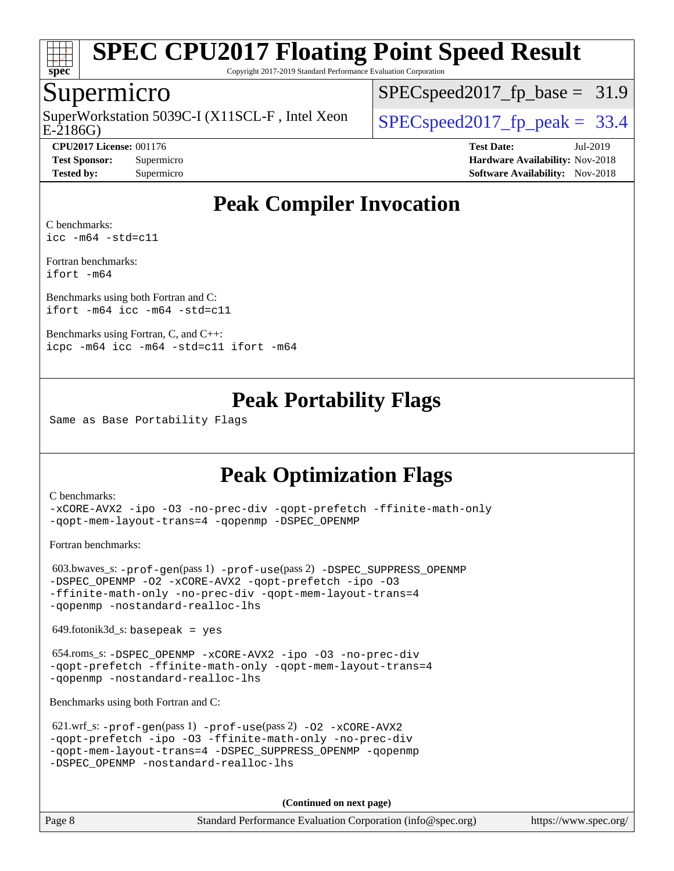

Copyright 2017-2019 Standard Performance Evaluation Corporation

#### Supermicro

E-2186G) SuperWorkstation 5039C-I (X11SCL-F, Intel Xeon  $\big|$  [SPECspeed2017\\_fp\\_peak =](http://www.spec.org/auto/cpu2017/Docs/result-fields.html#SPECspeed2017fppeak) 33.4

 $SPECspeed2017<sub>fp</sub> base = 31.9$ 

**[Tested by:](http://www.spec.org/auto/cpu2017/Docs/result-fields.html#Testedby)** Supermicro [Software Availability:](http://www.spec.org/auto/cpu2017/Docs/result-fields.html#SoftwareAvailability) Nov-2018

**[CPU2017 License:](http://www.spec.org/auto/cpu2017/Docs/result-fields.html#CPU2017License)** 001176 **[Test Date:](http://www.spec.org/auto/cpu2017/Docs/result-fields.html#TestDate)** Jul-2019 **[Test Sponsor:](http://www.spec.org/auto/cpu2017/Docs/result-fields.html#TestSponsor)** Supermicro **[Hardware Availability:](http://www.spec.org/auto/cpu2017/Docs/result-fields.html#HardwareAvailability)** Nov-2018

## **[Peak Compiler Invocation](http://www.spec.org/auto/cpu2017/Docs/result-fields.html#PeakCompilerInvocation)**

[C benchmarks](http://www.spec.org/auto/cpu2017/Docs/result-fields.html#Cbenchmarks): [icc -m64 -std=c11](http://www.spec.org/cpu2017/results/res2019q3/cpu2017-20190709-16212.flags.html#user_CCpeak_intel_icc_64bit_c11_33ee0cdaae7deeeab2a9725423ba97205ce30f63b9926c2519791662299b76a0318f32ddfffdc46587804de3178b4f9328c46fa7c2b0cd779d7a61945c91cd35)

[Fortran benchmarks](http://www.spec.org/auto/cpu2017/Docs/result-fields.html#Fortranbenchmarks): [ifort -m64](http://www.spec.org/cpu2017/results/res2019q3/cpu2017-20190709-16212.flags.html#user_FCpeak_intel_ifort_64bit_24f2bb282fbaeffd6157abe4f878425411749daecae9a33200eee2bee2fe76f3b89351d69a8130dd5949958ce389cf37ff59a95e7a40d588e8d3a57e0c3fd751)

[Benchmarks using both Fortran and C](http://www.spec.org/auto/cpu2017/Docs/result-fields.html#BenchmarksusingbothFortranandC): [ifort -m64](http://www.spec.org/cpu2017/results/res2019q3/cpu2017-20190709-16212.flags.html#user_CC_FCpeak_intel_ifort_64bit_24f2bb282fbaeffd6157abe4f878425411749daecae9a33200eee2bee2fe76f3b89351d69a8130dd5949958ce389cf37ff59a95e7a40d588e8d3a57e0c3fd751) [icc -m64 -std=c11](http://www.spec.org/cpu2017/results/res2019q3/cpu2017-20190709-16212.flags.html#user_CC_FCpeak_intel_icc_64bit_c11_33ee0cdaae7deeeab2a9725423ba97205ce30f63b9926c2519791662299b76a0318f32ddfffdc46587804de3178b4f9328c46fa7c2b0cd779d7a61945c91cd35)

[Benchmarks using Fortran, C, and C++:](http://www.spec.org/auto/cpu2017/Docs/result-fields.html#BenchmarksusingFortranCandCXX) [icpc -m64](http://www.spec.org/cpu2017/results/res2019q3/cpu2017-20190709-16212.flags.html#user_CC_CXX_FCpeak_intel_icpc_64bit_4ecb2543ae3f1412ef961e0650ca070fec7b7afdcd6ed48761b84423119d1bf6bdf5cad15b44d48e7256388bc77273b966e5eb805aefd121eb22e9299b2ec9d9) [icc -m64 -std=c11](http://www.spec.org/cpu2017/results/res2019q3/cpu2017-20190709-16212.flags.html#user_CC_CXX_FCpeak_intel_icc_64bit_c11_33ee0cdaae7deeeab2a9725423ba97205ce30f63b9926c2519791662299b76a0318f32ddfffdc46587804de3178b4f9328c46fa7c2b0cd779d7a61945c91cd35) [ifort -m64](http://www.spec.org/cpu2017/results/res2019q3/cpu2017-20190709-16212.flags.html#user_CC_CXX_FCpeak_intel_ifort_64bit_24f2bb282fbaeffd6157abe4f878425411749daecae9a33200eee2bee2fe76f3b89351d69a8130dd5949958ce389cf37ff59a95e7a40d588e8d3a57e0c3fd751)

## **[Peak Portability Flags](http://www.spec.org/auto/cpu2017/Docs/result-fields.html#PeakPortabilityFlags)**

Same as Base Portability Flags

## **[Peak Optimization Flags](http://www.spec.org/auto/cpu2017/Docs/result-fields.html#PeakOptimizationFlags)**

[C benchmarks](http://www.spec.org/auto/cpu2017/Docs/result-fields.html#Cbenchmarks):

[-xCORE-AVX2](http://www.spec.org/cpu2017/results/res2019q3/cpu2017-20190709-16212.flags.html#user_CCpeak_f-xCORE-AVX2) [-ipo](http://www.spec.org/cpu2017/results/res2019q3/cpu2017-20190709-16212.flags.html#user_CCpeak_f-ipo) [-O3](http://www.spec.org/cpu2017/results/res2019q3/cpu2017-20190709-16212.flags.html#user_CCpeak_f-O3) [-no-prec-div](http://www.spec.org/cpu2017/results/res2019q3/cpu2017-20190709-16212.flags.html#user_CCpeak_f-no-prec-div) [-qopt-prefetch](http://www.spec.org/cpu2017/results/res2019q3/cpu2017-20190709-16212.flags.html#user_CCpeak_f-qopt-prefetch) [-ffinite-math-only](http://www.spec.org/cpu2017/results/res2019q3/cpu2017-20190709-16212.flags.html#user_CCpeak_f_finite_math_only_cb91587bd2077682c4b38af759c288ed7c732db004271a9512da14a4f8007909a5f1427ecbf1a0fb78ff2a814402c6114ac565ca162485bbcae155b5e4258871) [-qopt-mem-layout-trans=4](http://www.spec.org/cpu2017/results/res2019q3/cpu2017-20190709-16212.flags.html#user_CCpeak_f-qopt-mem-layout-trans_fa39e755916c150a61361b7846f310bcdf6f04e385ef281cadf3647acec3f0ae266d1a1d22d972a7087a248fd4e6ca390a3634700869573d231a252c784941a8) [-qopenmp](http://www.spec.org/cpu2017/results/res2019q3/cpu2017-20190709-16212.flags.html#user_CCpeak_qopenmp_16be0c44f24f464004c6784a7acb94aca937f053568ce72f94b139a11c7c168634a55f6653758ddd83bcf7b8463e8028bb0b48b77bcddc6b78d5d95bb1df2967) [-DSPEC\\_OPENMP](http://www.spec.org/cpu2017/results/res2019q3/cpu2017-20190709-16212.flags.html#suite_CCpeak_DSPEC_OPENMP)

[Fortran benchmarks](http://www.spec.org/auto/cpu2017/Docs/result-fields.html#Fortranbenchmarks):

 603.bwaves\_s: [-prof-gen](http://www.spec.org/cpu2017/results/res2019q3/cpu2017-20190709-16212.flags.html#user_peakPASS1_FFLAGSPASS1_LDFLAGS603_bwaves_s_prof_gen_5aa4926d6013ddb2a31985c654b3eb18169fc0c6952a63635c234f711e6e63dd76e94ad52365559451ec499a2cdb89e4dc58ba4c67ef54ca681ffbe1461d6b36)(pass 1) [-prof-use](http://www.spec.org/cpu2017/results/res2019q3/cpu2017-20190709-16212.flags.html#user_peakPASS2_FFLAGSPASS2_LDFLAGS603_bwaves_s_prof_use_1a21ceae95f36a2b53c25747139a6c16ca95bd9def2a207b4f0849963b97e94f5260e30a0c64f4bb623698870e679ca08317ef8150905d41bd88c6f78df73f19)(pass 2) [-DSPEC\\_SUPPRESS\\_OPENMP](http://www.spec.org/cpu2017/results/res2019q3/cpu2017-20190709-16212.flags.html#suite_peakPASS1_FOPTIMIZE603_bwaves_s_DSPEC_SUPPRESS_OPENMP) [-DSPEC\\_OPENMP](http://www.spec.org/cpu2017/results/res2019q3/cpu2017-20190709-16212.flags.html#suite_peakPASS2_FOPTIMIZE603_bwaves_s_DSPEC_OPENMP) [-O2](http://www.spec.org/cpu2017/results/res2019q3/cpu2017-20190709-16212.flags.html#user_peakPASS1_FOPTIMIZE603_bwaves_s_f-O2) [-xCORE-AVX2](http://www.spec.org/cpu2017/results/res2019q3/cpu2017-20190709-16212.flags.html#user_peakPASS2_FOPTIMIZE603_bwaves_s_f-xCORE-AVX2) [-qopt-prefetch](http://www.spec.org/cpu2017/results/res2019q3/cpu2017-20190709-16212.flags.html#user_peakPASS1_FOPTIMIZEPASS2_FOPTIMIZE603_bwaves_s_f-qopt-prefetch) [-ipo](http://www.spec.org/cpu2017/results/res2019q3/cpu2017-20190709-16212.flags.html#user_peakPASS2_FOPTIMIZE603_bwaves_s_f-ipo) [-O3](http://www.spec.org/cpu2017/results/res2019q3/cpu2017-20190709-16212.flags.html#user_peakPASS2_FOPTIMIZE603_bwaves_s_f-O3) [-ffinite-math-only](http://www.spec.org/cpu2017/results/res2019q3/cpu2017-20190709-16212.flags.html#user_peakPASS1_FOPTIMIZEPASS2_FOPTIMIZE603_bwaves_s_f_finite_math_only_cb91587bd2077682c4b38af759c288ed7c732db004271a9512da14a4f8007909a5f1427ecbf1a0fb78ff2a814402c6114ac565ca162485bbcae155b5e4258871) [-no-prec-div](http://www.spec.org/cpu2017/results/res2019q3/cpu2017-20190709-16212.flags.html#user_peakPASS2_FOPTIMIZE603_bwaves_s_f-no-prec-div) [-qopt-mem-layout-trans=4](http://www.spec.org/cpu2017/results/res2019q3/cpu2017-20190709-16212.flags.html#user_peakPASS1_FOPTIMIZEPASS2_FOPTIMIZE603_bwaves_s_f-qopt-mem-layout-trans_fa39e755916c150a61361b7846f310bcdf6f04e385ef281cadf3647acec3f0ae266d1a1d22d972a7087a248fd4e6ca390a3634700869573d231a252c784941a8) [-qopenmp](http://www.spec.org/cpu2017/results/res2019q3/cpu2017-20190709-16212.flags.html#user_peakPASS2_FOPTIMIZE603_bwaves_s_qopenmp_16be0c44f24f464004c6784a7acb94aca937f053568ce72f94b139a11c7c168634a55f6653758ddd83bcf7b8463e8028bb0b48b77bcddc6b78d5d95bb1df2967) [-nostandard-realloc-lhs](http://www.spec.org/cpu2017/results/res2019q3/cpu2017-20190709-16212.flags.html#user_peakEXTRA_FOPTIMIZE603_bwaves_s_f_2003_std_realloc_82b4557e90729c0f113870c07e44d33d6f5a304b4f63d4c15d2d0f1fab99f5daaed73bdb9275d9ae411527f28b936061aa8b9c8f2d63842963b95c9dd6426b8a)

649.fotonik3d\_s: basepeak = yes

 654.roms\_s: [-DSPEC\\_OPENMP](http://www.spec.org/cpu2017/results/res2019q3/cpu2017-20190709-16212.flags.html#suite_peakFOPTIMIZE654_roms_s_DSPEC_OPENMP) [-xCORE-AVX2](http://www.spec.org/cpu2017/results/res2019q3/cpu2017-20190709-16212.flags.html#user_peakFOPTIMIZE654_roms_s_f-xCORE-AVX2) [-ipo](http://www.spec.org/cpu2017/results/res2019q3/cpu2017-20190709-16212.flags.html#user_peakFOPTIMIZE654_roms_s_f-ipo) [-O3](http://www.spec.org/cpu2017/results/res2019q3/cpu2017-20190709-16212.flags.html#user_peakFOPTIMIZE654_roms_s_f-O3) [-no-prec-div](http://www.spec.org/cpu2017/results/res2019q3/cpu2017-20190709-16212.flags.html#user_peakFOPTIMIZE654_roms_s_f-no-prec-div) [-qopt-prefetch](http://www.spec.org/cpu2017/results/res2019q3/cpu2017-20190709-16212.flags.html#user_peakFOPTIMIZE654_roms_s_f-qopt-prefetch) [-ffinite-math-only](http://www.spec.org/cpu2017/results/res2019q3/cpu2017-20190709-16212.flags.html#user_peakFOPTIMIZE654_roms_s_f_finite_math_only_cb91587bd2077682c4b38af759c288ed7c732db004271a9512da14a4f8007909a5f1427ecbf1a0fb78ff2a814402c6114ac565ca162485bbcae155b5e4258871) [-qopt-mem-layout-trans=4](http://www.spec.org/cpu2017/results/res2019q3/cpu2017-20190709-16212.flags.html#user_peakFOPTIMIZE654_roms_s_f-qopt-mem-layout-trans_fa39e755916c150a61361b7846f310bcdf6f04e385ef281cadf3647acec3f0ae266d1a1d22d972a7087a248fd4e6ca390a3634700869573d231a252c784941a8) [-qopenmp](http://www.spec.org/cpu2017/results/res2019q3/cpu2017-20190709-16212.flags.html#user_peakFOPTIMIZE654_roms_s_qopenmp_16be0c44f24f464004c6784a7acb94aca937f053568ce72f94b139a11c7c168634a55f6653758ddd83bcf7b8463e8028bb0b48b77bcddc6b78d5d95bb1df2967) [-nostandard-realloc-lhs](http://www.spec.org/cpu2017/results/res2019q3/cpu2017-20190709-16212.flags.html#user_peakEXTRA_FOPTIMIZE654_roms_s_f_2003_std_realloc_82b4557e90729c0f113870c07e44d33d6f5a304b4f63d4c15d2d0f1fab99f5daaed73bdb9275d9ae411527f28b936061aa8b9c8f2d63842963b95c9dd6426b8a)

[Benchmarks using both Fortran and C](http://www.spec.org/auto/cpu2017/Docs/result-fields.html#BenchmarksusingbothFortranandC):

| 621.wrf_s: $-\text{prof-qen(pass 1)} - \text{prof-use(pass 2)} -02 - \text{xCORE-AVX2}$ |  |
|-----------------------------------------------------------------------------------------|--|
| -gopt-prefetch -ipo -03 -ffinite-math-only -no-prec-div                                 |  |
| -gopt-mem-layout-trans=4 -DSPEC SUPPRESS OPENMP -gopenmp                                |  |
| -DSPEC OPENMP -nostandard-realloc-lhs                                                   |  |

**(Continued on next page)**